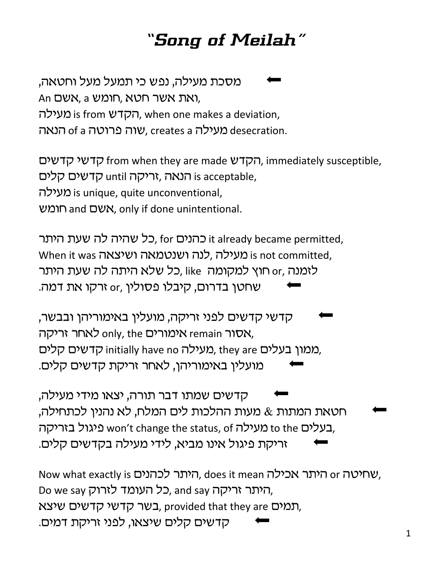## *"Song of Meilah"*

מסכת מעילה, נפש כי תמעל מעל וחטאה. An אשר חטא, a האת אשר, מעילה is from הקדש), when one makes a deviation, מעילה creates a שוה פרוטה of a שמה, creates a שמה

הקדשי ההודשים, immediately susceptible, הקדשים הנאה ,זריקה until הדעאה, הנאה is acceptable, עילה) is unique, quite unconventional, Aשם and oww, only if done unintentional.

cל שהיה לה שעת היתר, for כהנים it already became permitted, When it was יועילה לנה ושנטמאה ושיצאה is not committed, לזמנה ,or חוץ למקומה like ,כל שלא היתה לה שעת היתר שחטן בדרום, קיבלו פסולין ,or זרקו את דמה.

קדשי קדשים לפני זריקה, מועלין באימוריהן ובבשר, אימורים only, the אימורים remain לאחר זריקה, ממון בעלים initially have no מעילה, they are כומון בעלים, מועלין באימוריהן, לאחר זריקת קדשים קלים.

קדשים שמתו דבר תורה, יצאו מידי מעילה, חטאת המתות & מעות ההלכות לים המלח, לא נהנין לכתחילה, בעלים to the מעילה won't change the status, of בעלים, זריקת פיגול אינו מביא, לידי מעילה בקדשים קלים.

Now what exactly is היתר לכהנים, does it mean what exactly is . Do we say כל העומד לזרוק, and say היתר זריקה, תמים שיצא, provided that they are רגמים, קדשים קלים שיצאו, לפני זריקת דמים.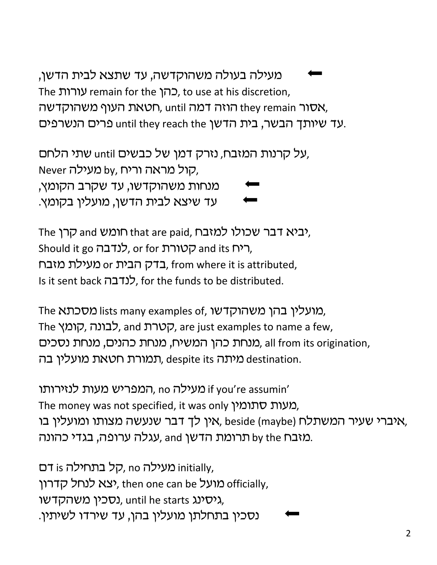מעילה בעולה משהוקדשה, עד שתצא לבית הדשן, The עורות remain for the כהן, to use at his discretion, הוזה דמה וואות, until המה דמה וואסור they remain הו עד שיותך הבשר, בית הדשן until they reach the פרים הנשרפים.

על קרנות המזבח, נזרק דמן של כבשים until שתי הלחם, Never קול מראה וריח, by, הול מראה ורי מנחות משהוקדשו, עד שקרב הקומץ, עד שיצא לבית הדשן, מועלין בקומץ.

rhe יביא דבר שכולו למזבח, the חומש and קרן, Should it go כלנדבה, or for הטורת, בדק הבית or באבח, from where it is attributed, Is it sent back לנדבה, for the funds to be distributed.

The מועלין בהן משהוקדשו, וists many examples of, מועלין בהן The לבונה, and לבונה, are just examples to name a few, מנחת כהנים, מנחת נסכים, all from its origination, תמורת חטאת מועלין בה, destination.

ון מעילה no המפריש מעות לנזירותו if you're assumin' The money was not specified, it was only מעות סתומין, אין לך דבר שנעשה מצותו ומועלין בו, beside (maybe) איברי שעיר המשתלח, מזבח by the תרומת הדשן and עגלה ערופה, בגדי כהונה.

ווה מעילה no קל בתחילה initially, יצא לנחל קדרון (then one can be מועל), then one can be *נו*על נסכין משהקדשו, until he starts גיסינג, נסכין בתחלתן מועלין בהן, עד שירדו לשיתין.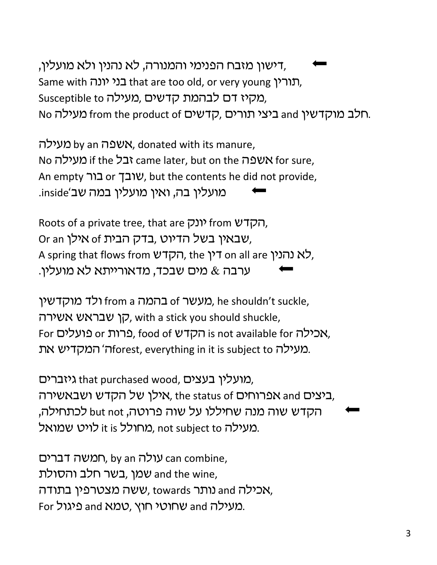דישון מזבח הפנימי והמנורה, לא נהנין ולא מועלין, Same with רורין, that are too old, or very young הורין, Susceptible to כבהמת קדשים, מקיז דם לבהמת No הלב מוקדשין from the product of הראב and ho היצי תורים.

מעילה by an שפה, donated with its manure, No ובל if the געילה came later, but on the *א*שפה An empty שובך or שובך, but the contents he did not provide, .inside'מועלין בה, ואין מועלין במה שב

Roots of a private tree, that are יונק from  $n$ , Or an שבאין בשל הדיוט, בדק הבית of אילן, A spring that flows from לא נהנין on all are דין, the לא ערבה & מים שבכד, מדאורייתא לא מועלין.

מעשר 6 בהמה a from a מעשר), he shouldn't suckle, קן שבראש אשירה, with a stick you should shuckle, For כרות or ברות, food of הקדש, food of המדט, מעילה forest, everything in it is subject to מעילה.

מועלין בעצים, that purchased wood, מועלין בעצים, ביצים and אפרוחים 6f ואנגונה, the status of ביצים, הקדש שוה מנה שחיללו על שוה פרוטה, but not לכתחילה, מעילה ות ומחולל it is מחולל, not subject to מעי

רמשה דברים, by an עולה, by an combine, שמן, בשר חלב והסולת and the wine, אכילה and נותר towards ששה מצטרפין בתודה, For בועילה and שחוטי חוץ, טמא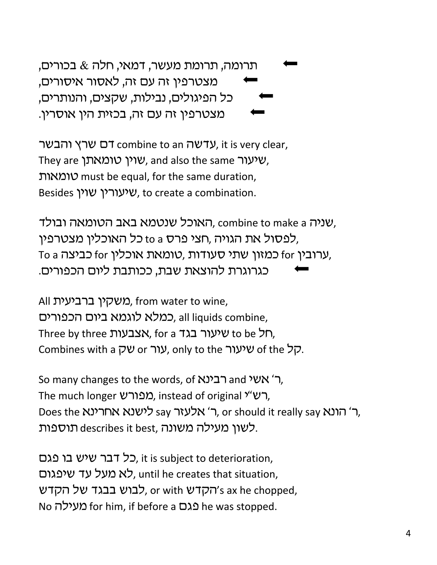תרומה, תרומת מעשר, דמאי, חלה  $\&$  בכורים, מצטרפין זה עם זה, לאסור איסורים, כל הפיגולים, נבילות, שקצים, והנותרים, מצטרפין זה עם זה, בכזית הין אוסרין.

רם שרץ והבשר combine to an עדשה, it is very clear, They are שוין טומאתן, and also the same *ww*, ,utnuy must be equal, for the same duration, Besides שיעורין שוין, to create a combination.

האוכל שנטמא באב הטומאה ובולד, combine to make a שניה, לפסול את הגויה .חצי פרס to a כל האוכליו מצטרפין, To a כמזון שתי סעודות ,טומאת אוכלין for כביצה, כגרוגרת להוצאת שבת, ככותבת ליום הכפורים.

All משקין ברביעית, from water to wine, כמלא לוגמא ביום הכפורים, all liquids combine, Three by three Dyter a רול to be שיעור בגד, Combines with a שיעור only to the שיעור.

So many changes to the words, of רבינא and ה' אשי $\tau$ , The much longer רש"ל, instead of original (מפורש, Does the לישנא אחרינא, or should it really say ה' הונא לשון מעילה משונה, describes it best, לשון מעילה משונה.

כל דבר שיש בו פגם, it is subject to deterioration, לא מעל עד שיפגום, until he creates that situation, לבוש בבגד של הקדש, or with לבוש באר מקדש, ax he chopped, No מעילה for him, if before a מ $\Omega$ גם he was stopped.